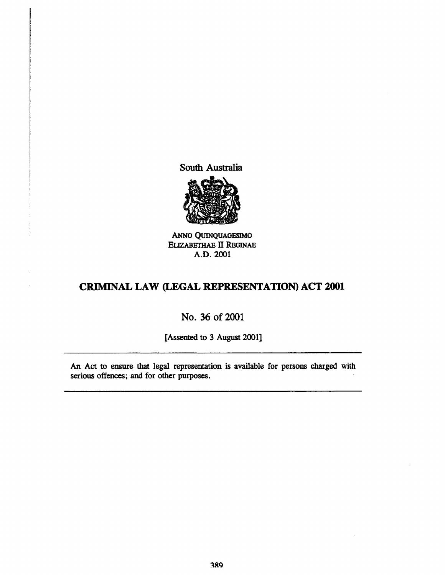South Australia



ANNo QUINQUAGESIMO ELIZABETHAE II REGINAE A.D.2001

# CRIMINAL LAW (LEGAL REPRESENTATION) ACT **2001**

# No. 36 of 2001

[Assented to 3 August 2001]

An Act to ensure that legal representation is available for persons charged with serious offences; and for other purposes.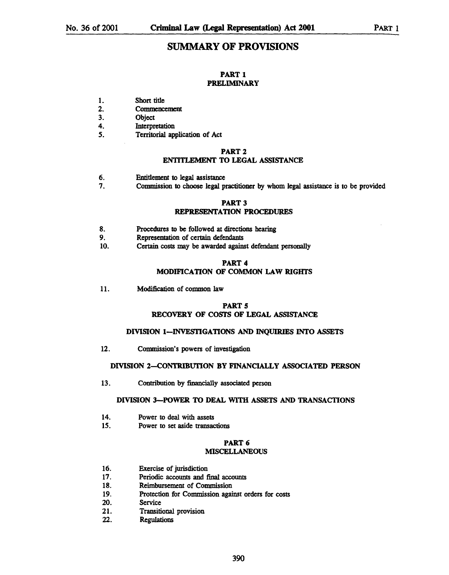## SUMMARY OF PROVISIONS

### PART 1 PRELIMINARY

- 1. Short title
- 2. Commencement
- 3. Object
- 4. Interpretation
- 5. Territorial application of Act

### PART 2

### ENTITLEMENT TO LEGAL ASSISTANCE

- 6. Entitlement to legal assistance
- 7. Commission to choose legal practitioner by whom legal assistance is to be provided

### PART 3

### REPRESENTATION PROCEDURES

- 8. Procedures to be followed at directions hearing
- 9. Representation of certain defendants
- 10. Certain costs may be awarded against defendant personally

## PART 4 MODIFICATION OF COMMON LAW RIGHTS

11. Modification of common law

### PART 5 RECOVERY OF COSTS OF LEGAL ASSISTANCE

### DIVISION 1-INVESTIGATIONS AND INQUIRIES INTO ASSETS

12. Commission's powers of investigation

## DIVISION 2-CONTRIBUTION BY FINANCIALLY ASSOCIATED PERSON

13. Contribution by financially associated person

### DIVISION 3-POWER TO DEAL WITH ASSETS AND TRANSACTIONS

- 14. Power to deal with assets
- 15. Power to set aside transactions

### PART 6 MISCELLANEOUS

- 16. Exercise of jurisdiction
- 17. Periodic accounts and final accounts
- 18. Reimbursement of Commission
- 19. Protection for Commission against orders for costs
- 20. Service
- 21. Transitional provision
- 22. Regulations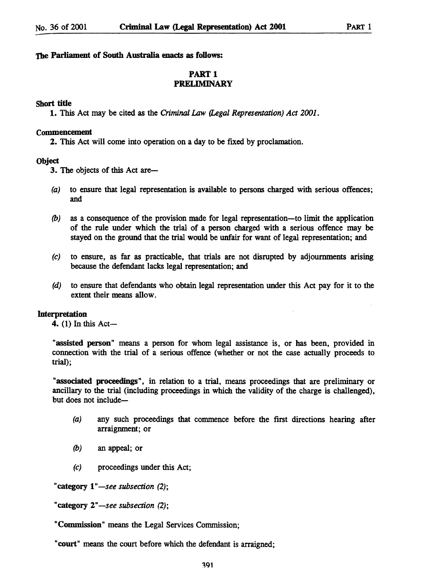### The Parliament of South Australia enacts as follows:

## PART 1 PRELIMINARY

### Short title

1. This Act may be cited as the *Criminal* Law *(Legal* Representation) *Act 2001.* 

### Commencement

2. This Act will come into operation on a day to be fixed by proclamation.

### **Object**

**3.** The objects of this Act are-

- (a) to ensure that legal representation is available to persons charged with serious offences; and
- (b) as a consequence of the provision made for legal representation-to limit the application of the rule under which the trial of a person charged with a serious offence may be stayed on the ground that the trial would be unfair for want of legal representation; and
- (c) to ensure, as far as practicable, that trials are not disrupted by adjournments arising because the defendant lacks legal representation; and
- (d) to ensure that defendants who obtain legal representation under this Act pay for it to the extent their means allow.

### Interpretation

4. (1) In this Act-

"assisted person" means a person for whom legal assistance is, or has been, provided in connection with the trial of a serious offence (whether or not the case actually proceeds to trial);

"associated proceedings", in relation to a trial, means proceedings that are preliminary or ancillary to the trial (including proceedings in which the validity of the charge is challenged), but does not include-

- (a) any such proceedings that commence before the first directions hearing after arraignment; or
- *(b)* an appeal; or
- (c) proceedings under this Act;

"category  $1$ "-see subsection  $(2)$ ;

"category 2"-see subsection (2);

"Commission" means the Legal Services Commission;

"court" means the court before which the defendant is arraigned;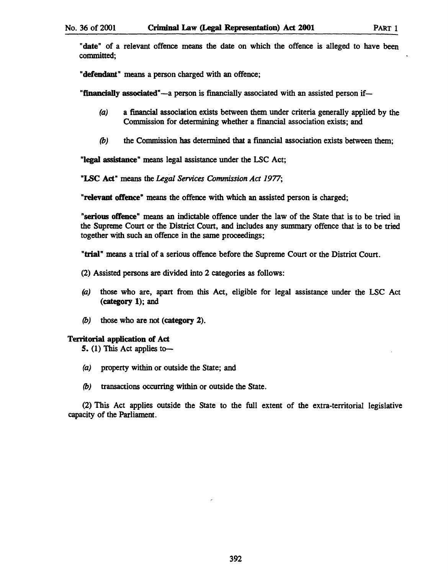"date" of a relevant offence means the date on which the offence is alleged to have been committed;

"defendant" means a person charged with an offence;

"financially associated"-a person is financially associated with an assisted person if-

- (a) a financial association exists between them under criteria generally applied by the Commission for determining whether a financial association exists; and
- (b) the Commission has determined that a financial association exists between them;

"legal assistance" means legal assistance under the LSC Act;

"LSC Act" means the *Legal Services Commission Act 1977;* 

"relevant offence" means the offence with which an assisted person is charged;

"serious offence" means an indictable offence under the law of the State that is to be tried in the Supreme Court or the District Court, and includes any summary offence that is to be tried together with such an offence in the same proceedings;

"trial" means a trial of a serious offence before the Supreme Court or the District Court.

- (2) Assisted persons are divided into 2 categories as follows:
- (a) those who are, apart from this Act, eligible for legal assistance under the LSC Act (category 1); and
- (b) those who are not (category 2).

## Territorial application of Act

5. (1) This Act applies to-

- (a) property within or outside the State; and
- *(b)* transactions occurring within or outside the State.

(2) This Act applies outside the State to the full extent of the extra-territorial legislative capacity of the Parliament.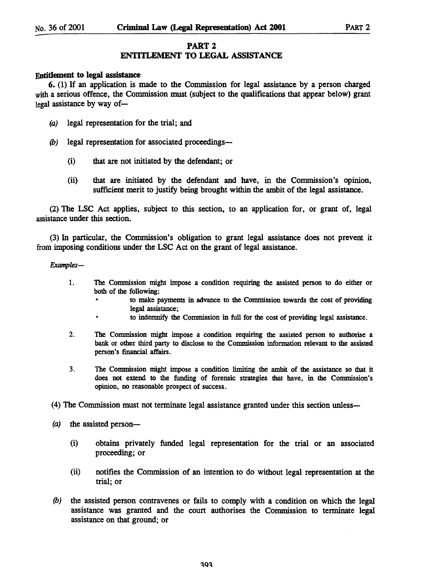## PART 2

## ENTITLEMENT TO LEGAL ASSISTANCE

### Entitlement to legal assistance

6. (1) If an application is made to the Commission for legal assistance by a person charged with a serious offence, the Commission must (subject to the qualifications that appear below) grant  $\leq$  legal assistance by way of-

- (a) legal representation for the trial; and
- (b) legal representation for associated proceedings--
	- (i) that are not initiated by the defendant; or
	- (ii) that are initiated by the defendant and have, in the Commission's opinion, sufficient merit to justify being brought within the ambit of the legal assistance.

(2) The LSC Act applies, subject to this section, to an application for, or grant of, legal assistance under this section.

(3) In particular, the Commission's obligation to grant legal assistance does not prevent it from imposing conditions under the LSC Act on the grant of legal assistance.

*Examples-*

- 1. The Commission might impose a condition requiring the assisted person to do either or both of the following:
	- to make payments in advance to the Commission towards the cost of providing legal assistance;
	- to indemnify the Commission in full for the cost of providing legal assistance.
- 2. The Commission might impose a condition requiring the assisted person to authorise a bank or other third party to disclose to the Commission information relevant to the assisted person's financial affairs.
- 3. The Commission might impose a condition limiting the ambit of the assistance so that it does not extend to the funding of forensic strategies that have, in the Commission's opinion, no reasonable prospect of success.

(4) The Commission must not terminate legal assistance granted under this section unless-

- $(a)$  the assisted person-
	- (i) obtains privately funded legal representation for the trial or an associated proceeding; or
	- (ii) notifies the Commission of an intention to do without legal representation at the trial; or
- (b) the assisted person contravenes or fails to comply with a condition on which the legal assistance was granted and the court authorises the Commission to terminate legal assistance on that ground; or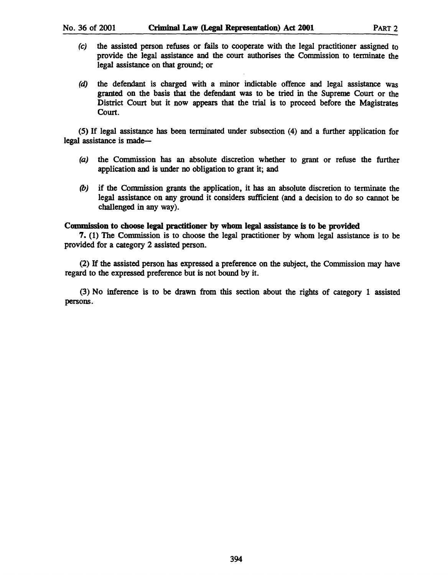- $(c)$  the assisted person refuses or fails to cooperate with the legal practitioner assigned to provide the legal assistance and the court authorises the Commission to terminate the legal assistance on that ground; or
- (d) the defendant is charged with a minor indictable offence and legal assistance was granted on the basis that the defendant was to be tried in the Supreme Court or the District Court but it now appears that the trial is to proceed before the Magistrates Court.

(5) If legal assistance has been terminated under subsection (4) and a further application for legal assistance is made-

- (a) the Commission has an absolute discretion whether to grant or refuse the further application and is under no obligation to grant it; and
- (b) if the Commission grants the application, it has an absolute discretion to terminate the legal assistance on any ground it considers sufficient (and a decision to do so cannot be challenged in any way).

## Commission to choose legal practitioner by whom legal assistance is to be provided

7. (1) The Commission is to choose the legal practitioner by whom legal assistance is to be provided for a category 2 assisted person.

(2) If the assisted person has expressed a preference on the subject, the Commission may have regard to the expressed preference but is not bound by it.

(3) No inference is to be drawn from this section about the rights of category 1 assisted persons.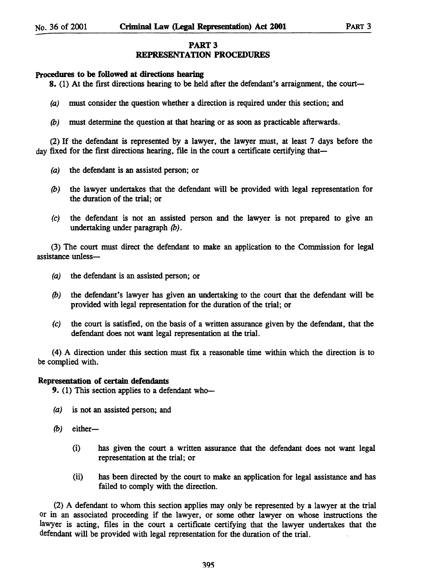## PART 3

## REPRESENTATION PROCEDURES

## Procedures to be followed at directions bearing

8. (1) At the first directions hearing to be held after the defendant's arraignment, the court-

- (a) must consider the question whether a direction is required under this section; and
- (b) must determine the question at that hearing or as soon as practicable afterwards.

(2) If the defendant is represented by a lawyer, the lawyer must, at least 7 days before the day fixed for the first directions hearing, file in the court a certificate certifying that—

- (a) the defendant is an assisted person; or
- (b) the lawyer undertakes that the defendant will be provided with legal representation for the duration of the trial; or
- (e) the defendant is not an assisted person and the lawyer is not prepared to give an undertaking under paragraph (b).

(3) The court must direct the defendant to make an application to the Commission for legal assistance unless-

- (a) the defendant is an assisted person; or
- (b) the defendant's lawyer has given an undertaking to the court that the defendant will be provided with legal representation for the duration of the trial; or
- (e) the court is satisfied, on the basis of a written assurance given by the defendant, that the defendant does not want legal representation at the trial.

(4) A direction under this section must fix a reasonable time within which the direction is to be complied with.

### Representation of certain defendants

9. (1) This section applies to a defendant who-

- (a) is not an assisted person; and
- $(b)$  either-
	- (i) has given the court a written assurance that the defendant does not want legal representation at the trial; or
	- (ii) has been directed by the court to make an application for legal assistance and has failed to comply with the direction.

(2) A defendant to whom this section applies may only be represented by a lawyer at the trial or in an associated proceeding if the lawyer, or some other lawyer on whose instructions the lawyer is acting, files in the court a certificate certifying that the lawyer undertakes that the defendant will be provided with legal representation for the duration of the trial.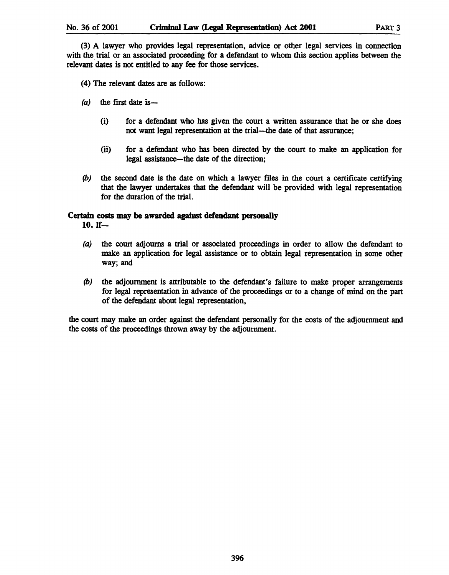(3) A lawyer who provides legal representation, advice or other legal services in connection with the trial or an associated proceeding for a defendant to whom this section applies between the relevant dates is not entitled to any fee for those services.

(4) The relevant dates are as follows:

- $(a)$  the first date is-
	- (i) for a defendant who has given the court a written assurance that he or she does not want legal representation at the trial-the date of that assurance;
	- (ii) for a defendant who has been directed by the court to make an application for legal assistance—the date of the direction;
- *(b)* the second date is the date on which a lawyer tiles in the court a certiticate certifying that the lawyer undertakes that the defendant will be provided with legal representation for the duration of the trial.

## Certain costs may be awarded against defendant personally

 $10.$  If-

- (a) the court adjourns a trial or associated proceedings in order to allow the defendant to make an application for legal assistance or to obtain legal representation in some other way; and
- *(b)* the adjournment is attributable to the defendant's failure to make proper arrangements for legal representation in advance of the proceedings or to a change of mind on the part of the defendant about legal representation,

the court may make an order against the defendant personally for the costs of the adjournment and the costs of the proceedings thrown away by the adjournment.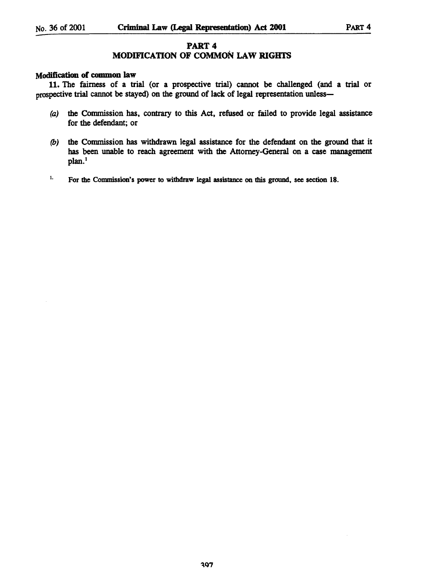## PART 4

# MODIFICATION OF COMMON LAW RIGHTS

## Modification of common law

11. The fairness of a trial {or a prospective trial} cannot be challenged {and a trial or prospective trial cannot be stayed} on the ground of lack of legal representation unless-

- (a) the Commission has, contrary to this Act, refused or failed to provide legal assistance for the defendant; or
- *(b)* the Commission has withdrawn legal assistance for the defendant on the ground that it has been unable to reach agreement with the Attorney-General on a case management plan.<sup>1</sup>
- <sup>1.</sup> For the Commission's power to withdraw legal assistance on this ground, see section 18.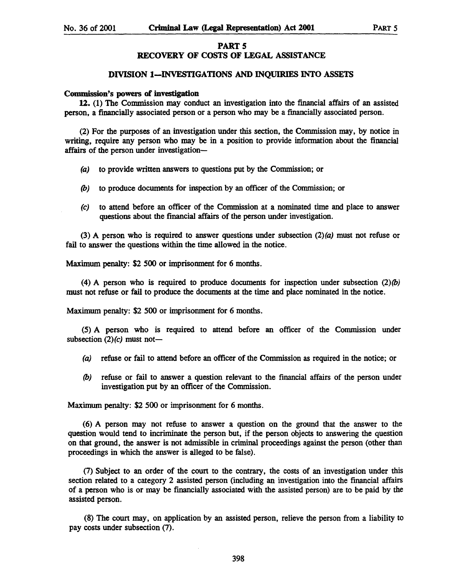### PART 5 RECOVERY OF COSTS OF LEGAL ASSISTANCE

### DIVISION I-INVESTIGATIONS AND INQUIRIES INTO ASSETS

#### Commission's powers of investigation

12. (1) The Commission may conduct an investigation into the fmancial affairs of an assisted person, a financially associated person or a person who may be a fmancially associated person.

(2) For the purposes of an investigation under this section, the Commission may, by notice in writing, require any person who may be in a position to provide information about the financial affairs of the person under investigation-

- (a) to provide written answers to questions put by the Commission; or
- (b) to produce documents for inspection by an officer of the Commission; or
- (c) to attend before an officer of the Commission at a nominated time and place to answer questions about the financial affairs of the person under investigation.

(3) A person who is required to answer questions under subsection  $(2)(a)$  must not refuse or fail to answer the questions within the time allowed in the notice.

Maximum penalty: \$2 500 or imprisonment for 6 months.

(4) A person who is required to produce documents for inspection under subsection  $(2)(b)$ must not refuse or fail to produce the documents at the time and place nominated in the notice.

Maximum penalty: \$2 500 or imprisonment for 6 months.

(5) A person who is required to attend before an officer of the Commission under subsection  $(2)(c)$  must not-

- (a) refuse or fail to attend before an officer of the Commission as required in the notice; or
- (b) refuse or fail to answer a question relevant to the financial affairs of the person under investigation put by an officer of the Commission.

Maximum penalty: \$2500 or imprisonment for 6 months.

(6) A person may not refuse to answer a question on the ground that the answer to the question would tend to incriminate the person but, if the person objects to answering the question on that ground, the answer is not admissible in criminal proceedings against the person (other than proceedings in which the answer is alleged to be false).

(7) Subject to an order of the court to the contrary, the costs of an investigation under this section related to a category 2 assisted person (including an investigation into the financial affairs of a person who is or may be financially associated with the assisted person) are to be paid by the assisted person.

(8) The court may, on application by an assisted person, relieve the person from a liability to pay costs under subsection (7).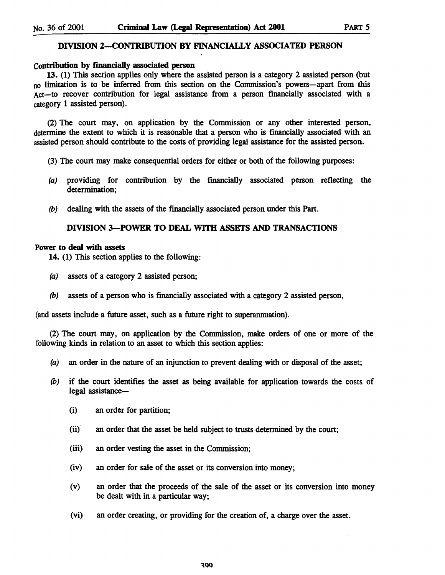## DIVISION 2-CONTRIBUTlON BY FINANCIALLY ASSOCIATED PERSON

### Contribution by financially associated person

13. (1) This section applies only where the assisted person is a category 2 assisted person (but no limitation is to be inferred from this section on the Commission's powers—apart from this Act-to recover contribution for legal assistance from a person financially associated with a category 1 assisted person).

(2) The court may, on application by the Commission or any other interested person, determine the extent to which it is reasonable that a person who is financially associated with an assisted person should contribute to the costs of providing legal assistance for the assisted person.

- (3) The court may make consequential orders for either or both of the following purposes:
- (a) providing for contribution by the financially associated person reflecting the determination;
- (b) dealing with the assets of the financially associated person under this Part.

### DIVISION 3-POWER TO DEAL WITH ASSETS AND TRANSACTIONS

### Power to deal with assets

14. (1) This section applies to the following:

- (a) assets of a category 2 assisted person;
- (b) assets of a person who is fmancially associated with a category 2 assisted person,

(and assets include a future asset, such as a future right to superannuation).

(2) The court may, on application by the Commission, make orders of one or more of the following kinds in relation to an asset to which this section applies:

- (a) an order in the nature of an injunction to prevent dealing with or disposal of the asset;
- *(b)* if the court identifies the asset as being available for application towards the costs of legal assistance-
	- (i) an order for partition;
	- (ii) an order that the asset be held subject to trusts determined by the court;
	- (iii) an order vesting the asset in the Commission;
	- (iv) an order for sale of the asset or its conversion into money;
	- (v) an order that the proceeds of the sale of the asset or its conversion into money be dealt with in a particular way;
	- (vi) an order creating, or providing for the creation of, a charge over the asset.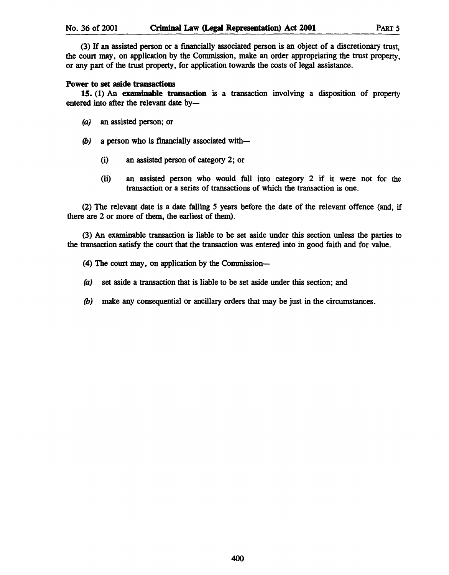(3) If an assisted person or a fmancially associated person is an object of a discretionary trust, the court may, on application by the Commission, make an order appropriating the trust property, or any part of the trust property, for application towards the costs of legal assistance.

## Power to set aside transactions

15. (1) An examinable transaction is a transaction involving a disposition of property entered into after the relevant date by-

- (a) an assisted person; or
- (b) a person who is financially associated with-
	- (i) an assisted person of category 2; or
	- (ii) an assisted person who would fall into category 2 if it were not for the transaction or a series of transactions of which the transaction is one.

(2) The relevant date is a date falling 5 years before the date of the relevant offence (and, if there are 2 or more of them, the earliest of them).

(3) An examinable transaction is liable to be set aside under this section unless the parties to the transaction satisfy the court that the transaction was entered into in good faith and for value.

- (4) The court may, on application by the Commission-
- (a) set aside a transaction that is liable to be set aside under this section; and
- (b) make any consequential or ancillary orders that may be just in the circumstances.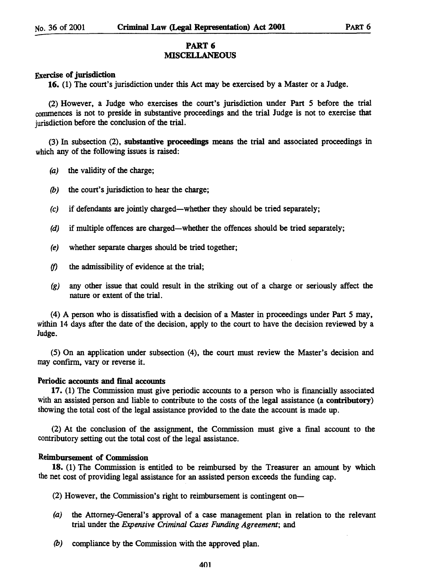### PART 6 MISCELLANEOUS

## Exercise of jurisdiction

16. (1) The court's jurisdiction under this Act may be exercised by a Master or a Judge.

(2) However, a Judge who exercises the court's jurisdiction under Part 5 before the trial conunences is not to preside in substantive proceedings and the trial Judge is not to exercise that jurisdiction before the conclusion of the trial.

(3) In subsection (2), substantive proceedjngs means the trial and associated proceedings in which any of the following issues is raised:

- (a) the validity of the charge;
- *(b)* the court's jurisdiction to hear the charge;
- (e) if defendants are jointly charged-whether they should be tried separately;
- (d) if multiple offences are charged—whether the offences should be tried separately;
- (e) whether separate charges should be tried together;
- (f) the admissibility of evidence at the trial;
- (g) any other issue that could result in the striking out of a charge or seriously affect the nature or extent of the trial.

(4) A person who is dissatisfied with a decision of a Master in proceedings under Part 5 may, within 14 days after the date of the decision, apply to the court to have the decision reviewed by a Judge.

(5) On an application under subsection (4), the court must review the Master's decision and may confirm, vary or reverse it.

### Periodic accounts and final accounts

17. (1) The Commission must give periodic accounts to a person who is financially associated with an assisted person and liable to contribute to the costs of the legal assistance (a contributory) showing the total cost of the legal assistance provided to the date the account is made up.

(2) At the conclusion of the assignment, the Commission must give a final account to the contributory setting out the total cost of the legal assistance.

### Reimbursement of Commission

18. (1) The Commission is entitled to be reimbursed by the Treasurer an amount by which the net cost of providing legal assistance for an assisted person exceeds the funding cap.

(2) However, the Commission's right to reimbursement is contingent on-

- (a) the Attorney-General's approval of a case management plan in relation to the relevant trial under the *Expensive Criminal Cases Funding Agreement;* and
- *(b)* compliance by the Commission with the approved plan.